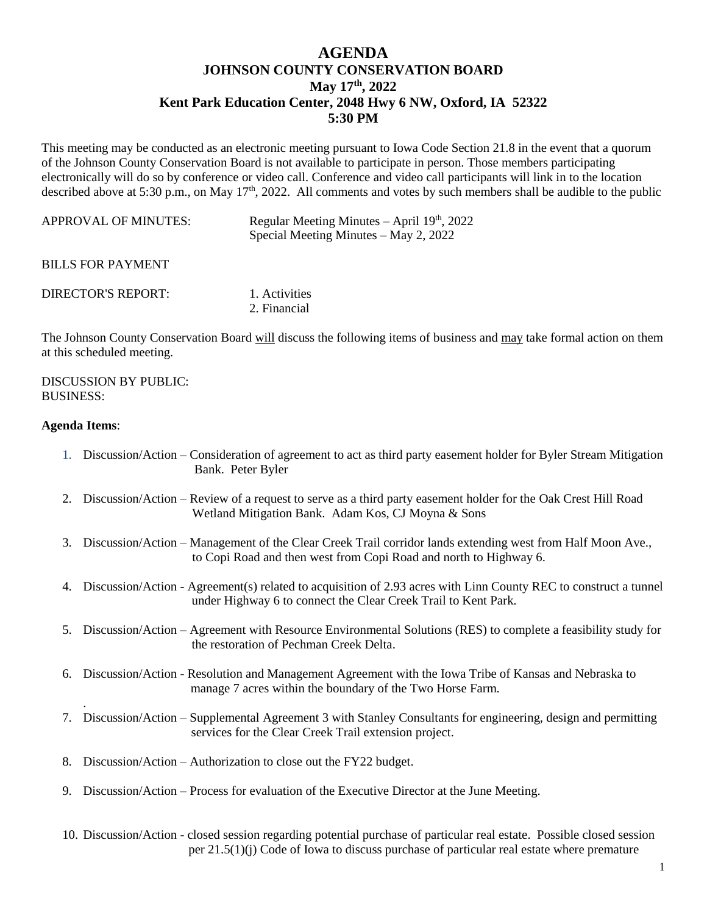## **AGENDA JOHNSON COUNTY CONSERVATION BOARD May 17th , 2022 Kent Park Education Center, 2048 Hwy 6 NW, Oxford, IA 52322 5:30 PM**

This meeting may be conducted as an electronic meeting pursuant to Iowa Code Section 21.8 in the event that a quorum of the Johnson County Conservation Board is not available to participate in person. Those members participating electronically will do so by conference or video call. Conference and video call participants will link in to the location described above at 5:30 p.m., on May 17<sup>th</sup>, 2022. All comments and votes by such members shall be audible to the public

| <b>APPROVAL OF MINUTES:</b> | Regular Meeting Minutes $-$ April 19 <sup>th</sup> , 2022 |
|-----------------------------|-----------------------------------------------------------|
|                             | Special Meeting Minutes $-$ May 2, 2022                   |

BILLS FOR PAYMENT

| DIRECTOR'S REPORT: | 1. Activities |
|--------------------|---------------|
|                    | 2. Financial  |

The Johnson County Conservation Board will discuss the following items of business and may take formal action on them at this scheduled meeting.

## DISCUSSION BY PUBLIC: BUSINESS:

## **Agenda Items**:

.

- 1. Discussion/Action Consideration of agreement to act as third party easement holder for Byler Stream Mitigation Bank. Peter Byler
- 2. Discussion/Action Review of a request to serve as a third party easement holder for the Oak Crest Hill Road Wetland Mitigation Bank. Adam Kos, CJ Moyna & Sons
- 3. Discussion/Action Management of the Clear Creek Trail corridor lands extending west from Half Moon Ave., to Copi Road and then west from Copi Road and north to Highway 6.
- 4. Discussion/Action Agreement(s) related to acquisition of 2.93 acres with Linn County REC to construct a tunnel under Highway 6 to connect the Clear Creek Trail to Kent Park.
- 5. Discussion/Action Agreement with Resource Environmental Solutions (RES) to complete a feasibility study for the restoration of Pechman Creek Delta.
- 6. Discussion/Action Resolution and Management Agreement with the Iowa Tribe of Kansas and Nebraska to manage 7 acres within the boundary of the Two Horse Farm.
- 7. Discussion/Action Supplemental Agreement 3 with Stanley Consultants for engineering, design and permitting services for the Clear Creek Trail extension project.
- 8. Discussion/Action Authorization to close out the FY22 budget.
- 9. Discussion/Action Process for evaluation of the Executive Director at the June Meeting.
- 10. Discussion/Action closed session regarding potential purchase of particular real estate. Possible closed session per 21.5(1)(j) Code of Iowa to discuss purchase of particular real estate where premature